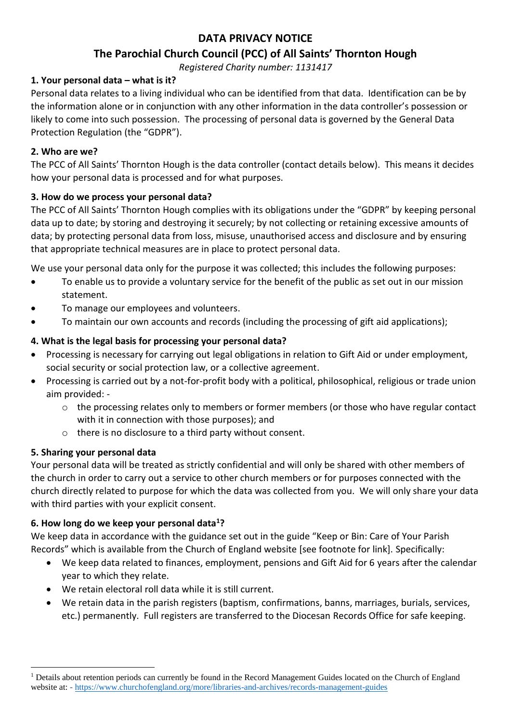# **DATA PRIVACY NOTICE**

# **The Parochial Church Council (PCC) of All Saints' Thornton Hough**

*Registered Charity number: 1131417*

### **1. Your personal data – what is it?**

Personal data relates to a living individual who can be identified from that data. Identification can be by the information alone or in conjunction with any other information in the data controller's possession or likely to come into such possession. The processing of personal data is governed by the General Data Protection Regulation (the "GDPR").

### **2. Who are we?**

The PCC of All Saints' Thornton Hough is the data controller (contact details below). This means it decides how your personal data is processed and for what purposes.

### **3. How do we process your personal data?**

The PCC of All Saints' Thornton Hough complies with its obligations under the "GDPR" by keeping personal data up to date; by storing and destroying it securely; by not collecting or retaining excessive amounts of data; by protecting personal data from loss, misuse, unauthorised access and disclosure and by ensuring that appropriate technical measures are in place to protect personal data.

We use your personal data only for the purpose it was collected; this includes the following purposes:

- To enable us to provide a voluntary service for the benefit of the public as set out in our mission statement.
- To manage our employees and volunteers.
- To maintain our own accounts and records (including the processing of gift aid applications);

### **4. What is the legal basis for processing your personal data?**

- Processing is necessary for carrying out legal obligations in relation to Gift Aid or under employment, social security or social protection law, or a collective agreement.
- Processing is carried out by a not-for-profit body with a political, philosophical, religious or trade union aim provided:
	- o the processing relates only to members or former members (or those who have regular contact with it in connection with those purposes); and
	- o there is no disclosure to a third party without consent.

## **5. Sharing your personal data**

<u>.</u>

Your personal data will be treated as strictly confidential and will only be shared with other members of the church in order to carry out a service to other church members or for purposes connected with the church directly related to purpose for which the data was collected from you. We will only share your data with third parties with your explicit consent.

#### **6. How long do we keep your personal data<sup>1</sup>?**

We keep data in accordance with the guidance set out in the guide "Keep or Bin: Care of Your Parish Records" which is available from the Church of England website [see footnote for link]. Specifically:

- We keep data related to finances, employment, pensions and Gift Aid for 6 years after the calendar year to which they relate.
- We retain electoral roll data while it is still current.
- We retain data in the parish registers (baptism, confirmations, banns, marriages, burials, services, etc.) permanently. Full registers are transferred to the Diocesan Records Office for safe keeping.

 $1$  Details about retention periods can currently be found in the Record Management Guides located on the Church of England website at: - <https://www.churchofengland.org/more/libraries-and-archives/records-management-guides>